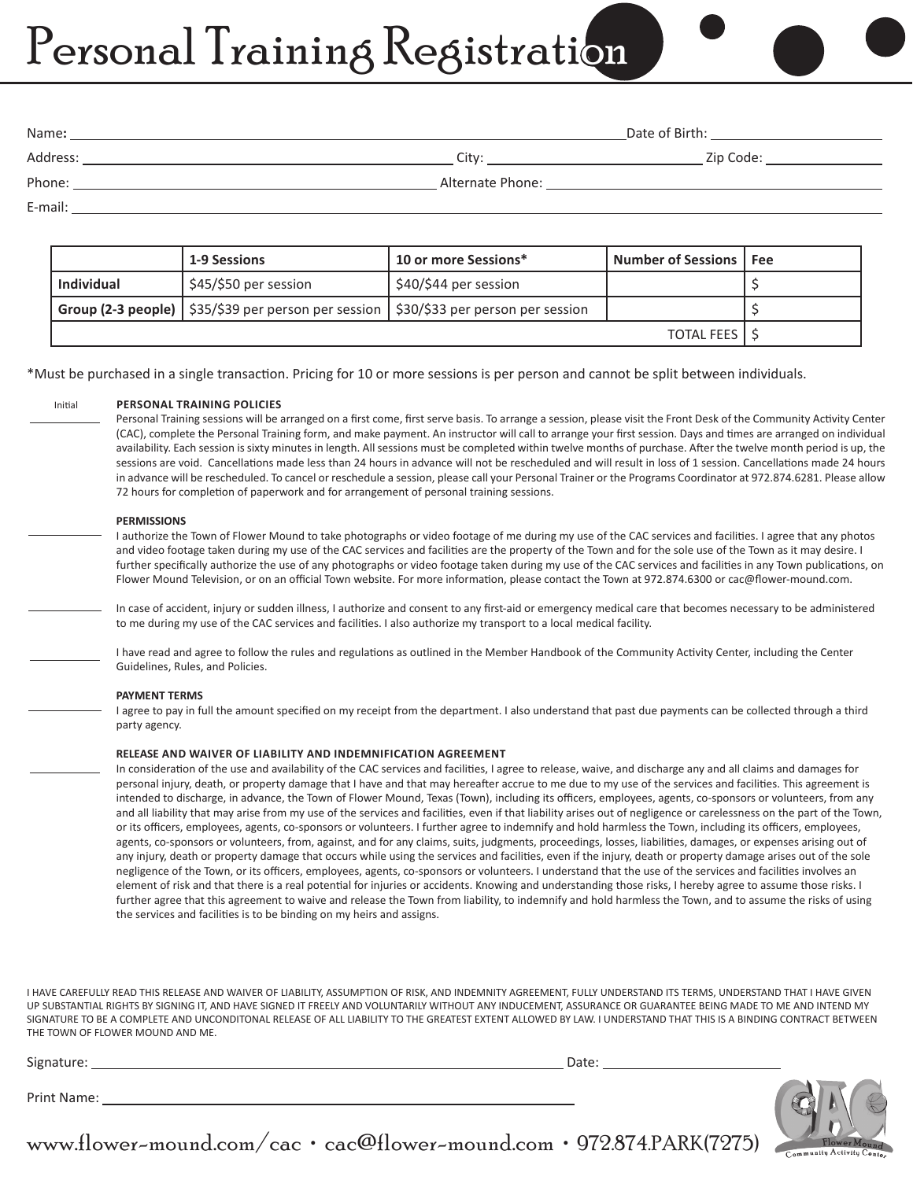# Personal Training Registration

| Name:    | Date of Birth:   |           |  |
|----------|------------------|-----------|--|
| Address: | Citv:            | Zip Code: |  |
| Phone:   | Alternate Phone: |           |  |

E-mail:

Initial

 $\overline{a}$ 

l

 $\overline{a}$ 

 $\overline{a}$ 

l

 $\overline{a}$ 

|                     | <b>1-9 Sessions</b>                                                                                                     | 10 or more Sessions*  | <b>Number of Sessions   Fee</b> |  |
|---------------------|-------------------------------------------------------------------------------------------------------------------------|-----------------------|---------------------------------|--|
| <b>Individual</b>   | \$45/\$50 per session                                                                                                   | \$40/\$44 per session |                                 |  |
|                     | <b>Group (2-3 people)</b> $\frac{1}{2}$ \$35/\$39 per person per session $\frac{1}{2}$ \$30/\$33 per person per session |                       |                                 |  |
| <b>TOTAL FEES I</b> |                                                                                                                         |                       |                                 |  |

\*Must be purchased in a single transaction. Pricing for 10 or more sessions is per person and cannot be split between individuals.

### **PERSONAL TRAINING POLICIES**

Personal Training sessions will be arranged on a first come, first serve basis. To arrange a session, please visit the Front Desk of the Community Activity Center (CAC), complete the Personal Training form, and make payment. An instructor will call to arrange your first session. Days and times are arranged on individual availability. Each session is sixty minutes in length. All sessions must be completed within twelve months of purchase. After the twelve month period is up, the sessions are void. Cancellations made less than 24 hours in advance will not be rescheduled and will result in loss of 1 session. Cancellations made 24 hours in advance will be rescheduled. To cancel or reschedule a session, please call your Personal Trainer or the Programs Coordinator at 972.874.6281. Please allow 72 hours for completion of paperwork and for arrangement of personal training sessions.

## **PERMISSIONS**

I authorize the Town of Flower Mound to take photographs or video footage of me during my use of the CAC services and facilities. I agree that any photos and video footage taken during my use of the CAC services and facilities are the property of the Town and for the sole use of the Town as it may desire. I further specifically authorize the use of any photographs or video footage taken during my use of the CAC services and facilities in any Town publications, on Flower Mound Television, or on an official Town website. For more information, please contact the Town at 972.874.6300 or cac@flower-mound.com.

In case of accident, injury or sudden illness, I authorize and consent to any first-aid or emergency medical care that becomes necessary to be administered to me during my use of the CAC services and facilities. I also authorize my transport to a local medical facility.

I have read and agree to follow the rules and regulations as outlined in the Member Handbook of the Community Activity Center, including the Center Guidelines, Rules, and Policies.

#### **PAYMENT TERMS**

I agree to pay in full the amount specified on my receipt from the department. I also understand that past due payments can be collected through a third party agency.

#### **RELEASE AND WAIVER OF LIABILITY AND INDEMNIFICATION AGREEMENT**

In consideration of the use and availability of the CAC services and facilities, I agree to release, waive, and discharge any and all claims and damages for personal injury, death, or property damage that I have and that may hereafter accrue to me due to my use of the services and facilities. This agreement is intended to discharge, in advance, the Town of Flower Mound, Texas (Town), including its officers, employees, agents, co-sponsors or volunteers, from any and all liability that may arise from my use of the services and facilities, even if that liability arises out of negligence or carelessness on the part of the Town, or its officers, employees, agents, co-sponsors or volunteers. I further agree to indemnify and hold harmless the Town, including its officers, employees, agents, co-sponsors or volunteers, from, against, and for any claims, suits, judgments, proceedings, losses, liabilities, damages, or expenses arising out of any injury, death or property damage that occurs while using the services and facilities, even if the injury, death or property damage arises out of the sole negligence of the Town, or its officers, employees, agents, co-sponsors or volunteers. I understand that the use of the services and facilities involves an element of risk and that there is a real potential for injuries or accidents. Knowing and understanding those risks, I hereby agree to assume those risks. I further agree that this agreement to waive and release the Town from liability, to indemnify and hold harmless the Town, and to assume the risks of using the services and facilities is to be binding on my heirs and assigns.

I HAVE CAREFULLY READ THIS RELEASE AND WAIVER OF LIABILITY, ASSUMPTION OF RISK, AND INDEMNITY AGREEMENT, FULLY UNDERSTAND ITS TERMS, UNDERSTAND THAT I HAVE GIVEN UP SUBSTANTIAL RIGHTS BY SIGNING IT, AND HAVE SIGNED IT FREELY AND VOLUNTARILY WITHOUT ANY INDUCEMENT, ASSURANCE OR GUARANTEE BEING MADE TO ME AND INTEND MY SIGNATURE TO BE A COMPLETE AND UNCONDITONAL RELEASE OF ALL LIABILITY TO THE GREATEST EXTENT ALLOWED BY LAW. I UNDERSTAND THAT THIS IS A BINDING CONTRACT BETWEEN THE TOWN OF FLOWER MOUND AND ME.

Signature: Date:

Print Name:

www.flower-mound.com/cac • cac@flower-mound.com • 972.874.PARK(7275)